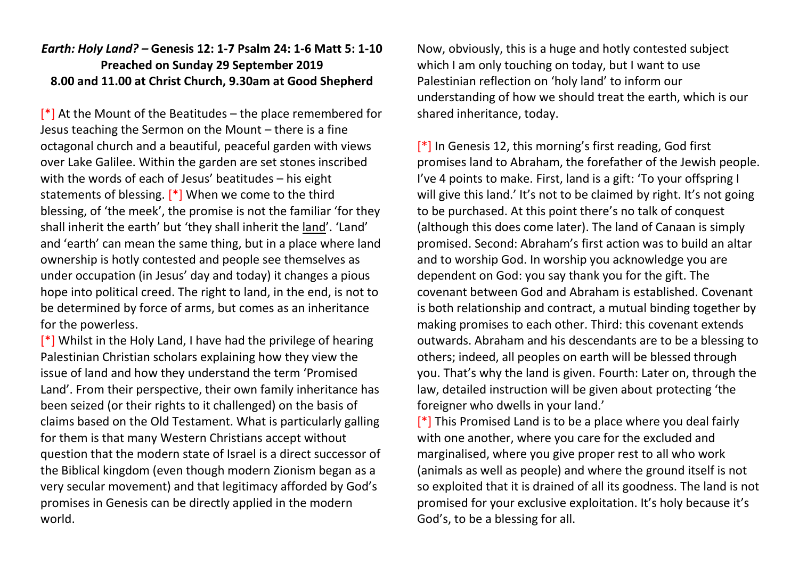## *Earth: Holy Land? –* **Genesis 12: 1-7 Psalm 24: 1-6 Matt 5: 1-10 Preached on Sunday 29 September 2019 8.00 and 11.00 at Christ Church, 9.30am at Good Shepherd**

 $[*]$  At the Mount of the Beatitudes – the place remembered for Jesus teaching the Sermon on the Mount – there is a fine octagonal church and a beautiful, peaceful garden with views over Lake Galilee. Within the garden are set stones inscribed with the words of each of Jesus' beatitudes – his eight statements of blessing. [\*] When we come to the third blessing, of 'the meek', the promise is not the familiar 'for they shall inherit the earth' but 'they shall inherit the land'. 'Land' and 'earth' can mean the same thing, but in a place where land ownership is hotly contested and people see themselves as under occupation (in Jesus' day and today) it changes a pious hope into political creed. The right to land, in the end, is not to be determined by force of arms, but comes as an inheritance for the powerless.

 $\lceil$ \*] Whilst in the Holy Land, I have had the privilege of hearing Palestinian Christian scholars explaining how they view the issue of land and how they understand the term 'Promised Land'. From their perspective, their own family inheritance has been seized (or their rights to it challenged) on the basis of claims based on the Old Testament. What is particularly galling for them is that many Western Christians accept without question that the modern state of Israel is a direct successor of the Biblical kingdom (even though modern Zionism began as a very secular movement) and that legitimacy afforded by God's promises in Genesis can be directly applied in the modern world.

Now, obviously, this is a huge and hotly contested subject which I am only touching on today, but I want to use Palestinian reflection on 'holy land' to inform our understanding of how we should treat the earth, which is our shared inheritance, today.

[\*] In Genesis 12, this morning's first reading, God first promises land to Abraham, the forefather of the Jewish people. I've 4 points to make. First, land is a gift: 'To your offspring I will give this land.' It's not to be claimed by right. It's not going to be purchased. At this point there's no talk of conquest (although this does come later). The land of Canaan is simply promised. Second: Abraham's first action was to build an altar and to worship God. In worship you acknowledge you are dependent on God: you say thank you for the gift. The covenant between God and Abraham is established. Covenant is both relationship and contract, a mutual binding together by making promises to each other. Third: this covenant extends outwards. Abraham and his descendants are to be a blessing to others; indeed, all peoples on earth will be blessed through you. That's why the land is given. Fourth: Later on, through the law, detailed instruction will be given about protecting 'the foreigner who dwells in your land.'

 $\lceil * \rceil$  This Promised Land is to be a place where you deal fairly with one another, where you care for the excluded and marginalised, where you give proper rest to all who work (animals as well as people) and where the ground itself is not so exploited that it is drained of all its goodness. The land is not promised for your exclusive exploitation. It's holy because it's God's, to be a blessing for all.